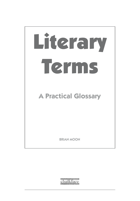

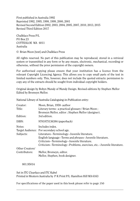First published in Australia 1992 Reprinted 1992, 1995, 1998, 1999, 2000, 2001 Revised Second Edition 2002, 2003, 2004, 2005, 2007, 2010, 2013, 2015 Revised Third Edition 2017

Chalkface Press P/L PO Box 23 COTTESLOE WA 6011 Australia

© Brian Moon [text] and Chalkface Press

All rights reserved. No part of this publication may be reproduced, stored in a retrieval system or transmitted in any form or by any means, electronic, mechanical, recording or otherwise, without the prior permission of the copyright owners.

For authorised copying please ensure that your institution has a licence from the relevant Copyright Licencing Agency. This allows you to copy small parts of the text in limited numbers only. This, however, does not include the quoted extracts: permission to copy any of the extracts should be sought from individual copyright holders.

Original design by Robyn Mundy of Mundy Design. Revised editions by Stephen Mellor Edited by Bronwyn Mellor.

National Library of Australia Cataloguing-in-Publication entry:

| Creator:        | Moon, Brian, 1958-author                                                |
|-----------------|-------------------------------------------------------------------------|
| Title:          | Literary terms : a practical glossary / Brian Moon ;                    |
|                 | Bronwyn Mellor, editor ; Stephen Mellor (designer).                     |
| Edition:        | 3rd edition.                                                            |
| ISBN:           | 9781875136384 (paperback)                                               |
| Notes:          | Includes index.                                                         |
|                 | Target Audience: For secondary school age.                              |
| Subjects:       | Literature--Terminology--Juvenile literature.                           |
|                 | English language--Terms and phrases--Juvenile literature.               |
|                 | Criticism--Terminology--Juvenile literature.                            |
|                 | Criticism--Terminology--Problems, exercises, etc.--Juvenile literature. |
| Other Creators/ |                                                                         |
| Contributors:   | Mellor, Bronwyn, editor.                                                |
|                 | Mellor, Stephen, book designer.                                         |

801.95014

Set in ITC Clearface and ITC Kabel Printed in Western Australia by P K Print P/L Hamilton Hill WA 6163

For specifications of the paper used in this book please refer to page 250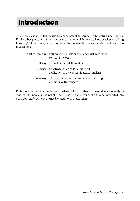# Introduction

This glossary is intended for use as a supplement to courses in Literature and English. Unlike other glossaries, it includes brief activities which help students develop a working knowledge of the concepts. Each of the entries is structured as a mini-lesson divided into four sections:

| To get you thinking: a stimulating puzzle or problem which brings the<br>concept into focus       |
|---------------------------------------------------------------------------------------------------|
| Theory: a brief theoretical discussion                                                            |
| Practice: an activity which calls for practical<br>application of the concept in textual analysis |
| Summary: a final summary which can serve as a working<br>definition of the concept.               |

Definitions and activities in the text are designed so that they can be used independently by students, at individual points of need. However, the glossary can also be integrated into classroom study without the need for additional preparation.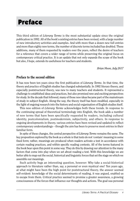# Preface

This third edition of *Literary Terms* is the most substantial update since the original publication in 1992. All of the book's existing entries have been revised, with a large number of new introductory activities and examples. And with more than a dozen new full entries and more than eighty new terms, the number of discrete terms included has doubled. These additions, many of them requested by readers over the years, reflect the desire of teachers for a reference that covers a wider range of terms while preserving the original focus on contemporary critical practice. It is an update that not only expands the scope of the book but also, I hope, extends its usefulness for teachers and students.

*Brian Moon, July 2017*

#### Preface to the second edition

It has now been ten years since the first publication of *Literary Terms*. In that time, the theory and practice of English studies has changed substantially. In 1992 literary theory, and especially poststructural theory, was new to many teachers and students. It represented a challenge to established ideas and practices, but also promised new and exciting perspectives for study. In the decade that followed, many of those new ideas became part of the mainstream of study in subject English. Along the way, the theory itself has been modified, especially in the light of ongoing research into the history and social organisation of English studies itself.

This new edition of *Literary Terms* acknowledges both these trends. In response to the continuing spread of theoretical terminology into English, the book adds a number of new terms that have been specifically requested by readers, including cultural identity, postcolonialism, postmodernism, subjectivity, and others. In response to ongoing developments in theory, various entries have been revised and updated to reflect contemporary understandings – though the aim has been to preserve most entries in their familiar form.

In spite of these changes, the central perspective of *Literary Terms* remains the same. The key proposition explored by the book as a whole is that texts do not 'contain' meaning in some fixed form; rather, meanings are produced when readers activate a text in accordance with certain reading practices, and within specific reading contexts. All of the terms featured in the book bear upon this point in some way. They do this by drawing our attention to the many factors that come into play when we set about reading a text. With this knowledge we are better able to map out the social, historical and linguistic forces that set the stage on which we assemble our meanings.

Such activity begs an interesting question, however: Why take a social-historical approach to literature rather than, say, a personal or even mystical one? Ten years ago, at what might have been the high point for poststructural theory, the answer seemed self-evident: knowledge of the social determinants of reading, it was argued, enabled us to escape from them. Critical practice seemed to promise a greater awareness, a growing consciousness of the forces that influence our thoughts and actions. The goal was personal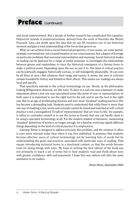### Preface (continued)

and social empowerment. But a decade of further research has complicated this equation. Historicist strands of poststructuralism, derived from the work of theorists like Michel Foucault, have cast doubt upon the idea that we can lift ourselves out of our historical moment and gain a total understanding of the forces that govern us.

What we can achieve from a social-historical perspective, it now seems, are some partial, strategic reorientations: not a transformation in our consciousness, but a degree of leverage on particular problems that surround representation and meaning. Social-historical modes of reading can be deployed for a range of useful purposes: to investigate the relationships between genres and readerships; to trace the historical emergence of a literary form; to make a political point. Depending upon the use we put it to, this kind of critical practice can be politically engaged, historically curious, or self-indulgently pleasurable. (It can even be all three at once.) But whatever their range and variety, it seems, the uses of criticism remain bounded by history and limited in their effects. This means our readings are always local and specific.

That specificity extends to the critical terminology we use. Words, as the philosopher Ludwig Wittgenstein observed, are like tools. To drive in a nail one uses a hammer; to make statements about a text one uses specialised terms like point of view or representation. In both cases it is important to use the right tool for the job, and to use the tool in the right way. But in an age of proliferating theories and ever more 'localised' reading practices this has become a demanding task. Students need to understand that while there is more than one way of studying a text, terms and concepts cannot be mixed and matched at will: critical practice is not a smorgasbord. To talk of 'representations' that are 'true-to-life,' for example, is either to contradict oneself or to use the terms so loosely that one can hardly claim to be using a specialist terminology at all. For the modern student of literature, memorising 'standard' definitions of terms is no longer enough, for a familiar word may signify different things depending on the kind of critical practice it is employed in.

*Literary Terms* is designed to address precisely this problem, and the solution it offers is even more relevant today than when it was first published. It proposes that students become effective users of critical terminology not by learning lists of words but by understanding the goals and practices associated with particular ways of reading. That means introducing technical terms in a functional context, so that the words become tools for doing things with texts. My hope in writing the first edition of the book was not primarily to teach a set of terms but to help students read and think about texts with greater confidence, skill and enjoyment. I hope this new edition will offer the same assistance to its readers.

*Brian Moon, September 2002*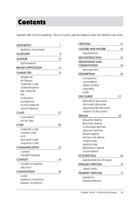# Contents

Capitals refer to entry headings. Terms in lower case are treated under the relevant main entry.

| <b>AESTHETICS</b>        | 1  |
|--------------------------|----|
| aesthetic movement       |    |
| ALLEGORY                 | 8  |
| <b>AUTHOR</b>            | 12 |
| authorisation            |    |
| <b>BINARY OPPOSITION</b> | 14 |
| <b>CHARACTER</b>         | 18 |
| antagonist               |    |
| archetype                |    |
| character code           |    |
| characterisation         |    |
| flat character           |    |
| foil                     |    |
| motivation               |    |
| protagonist              |    |
| round character          |    |
| stock character          |    |
| <b>CLASS</b>             | 23 |
| colonialism              |    |
| social class             |    |
| CODE                     | 26 |
| character code           |    |
| cultural code            |    |
| plot                     |    |
| structural code          |    |
| suspense code            |    |
| <b>COMMUNICATION</b>     | 30 |
| context                  |    |
| resistant reading        |    |
| <b>CONTEXT</b>           | 34 |
| context of reading       |    |
| decorum                  |    |
| <b>CONVENTIONS</b>       | 38 |
| code                     |    |
| reading convention       |    |
| textual convention       |    |
|                          |    |

| <b>CRITICISM</b>                                                                                                                                                                                 | 41 |
|--------------------------------------------------------------------------------------------------------------------------------------------------------------------------------------------------|----|
| <b>CULTURE AND NATURE</b>                                                                                                                                                                        | 43 |
| naturalisation                                                                                                                                                                                   |    |
| <b>DECONSTRUCTION</b>                                                                                                                                                                            | 45 |
| <b>DENOTATION AND</b>                                                                                                                                                                            |    |
| CONNOTATION                                                                                                                                                                                      | 49 |
| denouement                                                                                                                                                                                       |    |
| <b>DESCRIPTION</b>                                                                                                                                                                               | 52 |
| comparison<br>connotation<br>detail number<br>originality<br>scale                                                                                                                               |    |
| <b>DISCOURSE</b>                                                                                                                                                                                 | 57 |
| alternative discourse<br>dominant discourse<br>oppositional discourse<br>subject of discourse                                                                                                    |    |
| <b>DRAMA</b>                                                                                                                                                                                     | 60 |
| absurdist drama<br><b>Brechtian drama</b><br>Commedia dell'arte<br>deus ex machina<br>Greek tragedy<br>kitchen sink drama<br>miracle play<br>passion play<br>Restoration drama<br>social realism |    |
| <b>ECOCRITICISM</b>                                                                                                                                                                              | 66 |
| representations of nature                                                                                                                                                                        |    |
| <b>ENGLISH CRITICISM</b>                                                                                                                                                                         | 70 |
| 'great works'                                                                                                                                                                                    |    |
| <b>FEMINIST CRITICISM</b>                                                                                                                                                                        | 73 |
| patriarchy<br>representations                                                                                                                                                                    |    |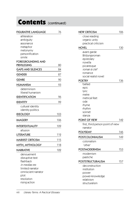# Contents (continued)

| <b>FIGURATIVE LANGUAGE</b> | 76  |
|----------------------------|-----|
| alliteration               |     |
| ambiguity                  |     |
| assonance                  |     |
| metaphor                   |     |
| metonymy                   |     |
| personification            |     |
| simile                     |     |
| <b>FOREGROUNDING AND</b>   |     |
| <b>PRIVILEGING</b>         | 80  |
| <b>GAPS AND SILENCES</b>   | 84  |
| GENDER                     | 87  |
| Genre                      | 90  |
| HUMANISM                   | 93  |
| determinism                |     |
| liberal humanism           |     |
| <b>IDENTIFICATION</b>      | 96  |
| <b>IDENTITY</b>            | 99  |
| cultural identity          |     |
| identity politics          |     |
| <b>IDEOLOGY</b>            | 103 |
| <b>IMAGERY</b>             | 106 |
| <b>INTERTEXTUALITY</b>     | 109 |
| allusion                   |     |
| LITERATURE                 | 112 |
| <b>MARXIST CRITICISM</b>   | 115 |
| <b>MYTH, MYTHOLOGY</b>     | 118 |
| NARRATIVE                  | 122 |
| denouement                 |     |
| disruptive text            |     |
| flashback                  |     |
| in medias res              |     |
| limited narrator           |     |
| omniscient narrator        |     |
| plot                       |     |
| resolution                 |     |
| rising action              |     |

| <b>NEW CRITICISM</b>              | 126 |
|-----------------------------------|-----|
| close reading                     |     |
| organic unity                     |     |
| practical criticism               |     |
| <b>NOVEL</b>                      | 130 |
| avant-garde                       |     |
| Bildungsroman                     |     |
| epistolary                        |     |
| novella                           |     |
| picaresque                        |     |
| roman à clef                      |     |
| romance                           |     |
| social realist novel              |     |
| <b>POETRY</b>                     | 136 |
| ballad                            |     |
| epic                              |     |
| lyric                             |     |
| metre                             |     |
| metrical feet                     |     |
| ode                               |     |
| rhyme                             |     |
| rhythm                            |     |
| sonnet                            |     |
| stanza                            |     |
| POINT OF VIEW                     | 142 |
| first, third person point of view |     |
| narrator                          |     |
| <b>POLYSEMY</b>                   | 146 |
| POSTCOLONIALISM                   | 149 |
| colonialism                       |     |
| 'other'                           |     |
| POSTMODERNISM                     | 153 |
| modernism                         |     |
| pastiche                          |     |
| POSTSTRUCTURALISM                 | 157 |
| deconstruction                    |     |
| institution                       |     |
| power                             |     |
| power-knowledge                   |     |
| relativism                        |     |
| structuralism                     |     |